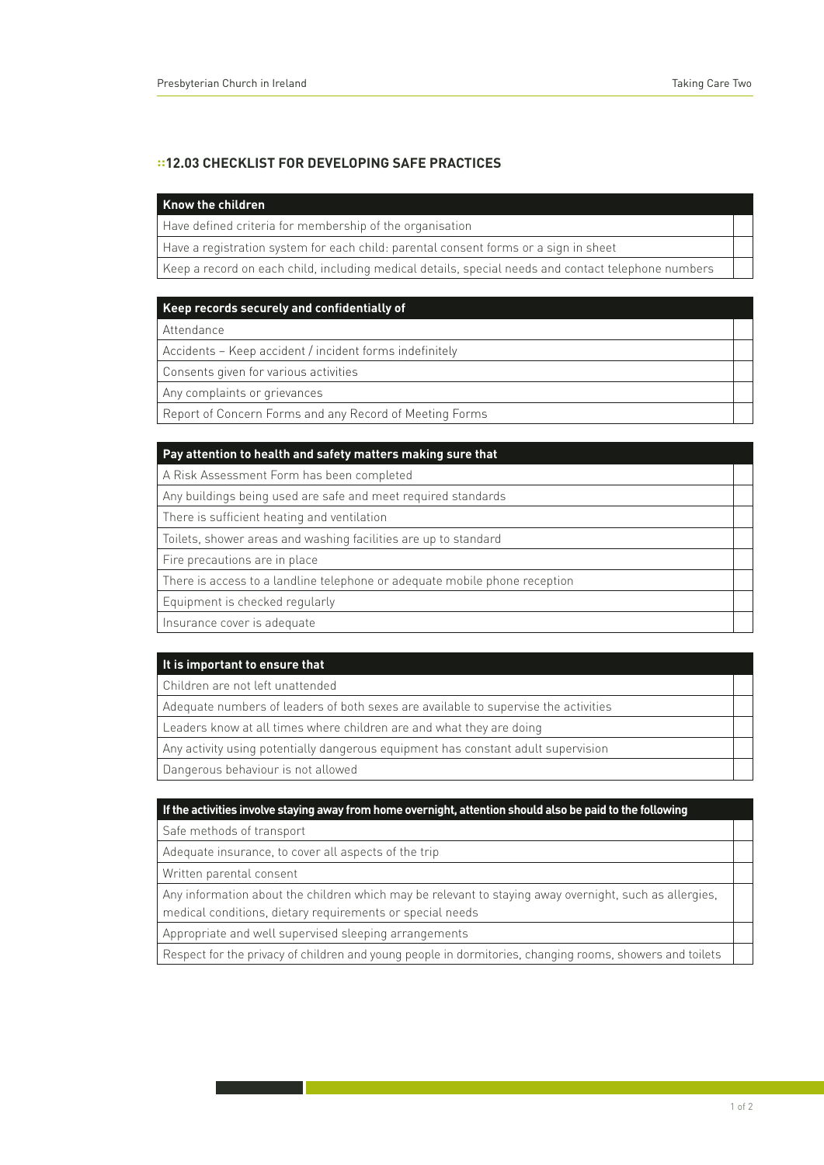# **::12.03 Checklist for Developing Safe Practices**

#### **Know the children**

Have defined criteria for membership of the organisation

Have a registration system for each child: parental consent forms or a sign in sheet

Keep a record on each child, including medical details, special needs and contact telephone numbers

#### **Keep records securely and confidentially of**

Attendance

Accidents – Keep accident / incident forms indefinitely

Consents given for various activities

Any complaints or grievances

Report of Concern Forms and any Record of Meeting Forms

| Pay attention to health and safety matters making sure that                |  |
|----------------------------------------------------------------------------|--|
| A Risk Assessment Form has been completed                                  |  |
| Any buildings being used are safe and meet required standards              |  |
| There is sufficient heating and ventilation                                |  |
| Toilets, shower areas and washing facilities are up to standard            |  |
| Fire precautions are in place                                              |  |
| There is access to a landline telephone or adequate mobile phone reception |  |
| Equipment is checked regularly                                             |  |
| Insurance cover is adequate                                                |  |

#### **It is important to ensure that**

Children are not left unattended

Adequate numbers of leaders of both sexes are available to supervise the activities

Leaders know at all times where children are and what they are doing

Any activity using potentially dangerous equipment has constant adult supervision

Dangerous behaviour is not allowed

### **If the activities involve staying away from home overnight, attention should also be paid to the following**

Safe methods of transport

Adequate insurance, to cover all aspects of the trip

Written parental consent

Any information about the children which may be relevant to staying away overnight, such as allergies, medical conditions, dietary requirements or special needs

Appropriate and well supervised sleeping arrangements

Respect for the privacy of children and young people in dormitories, changing rooms, showers and toilets